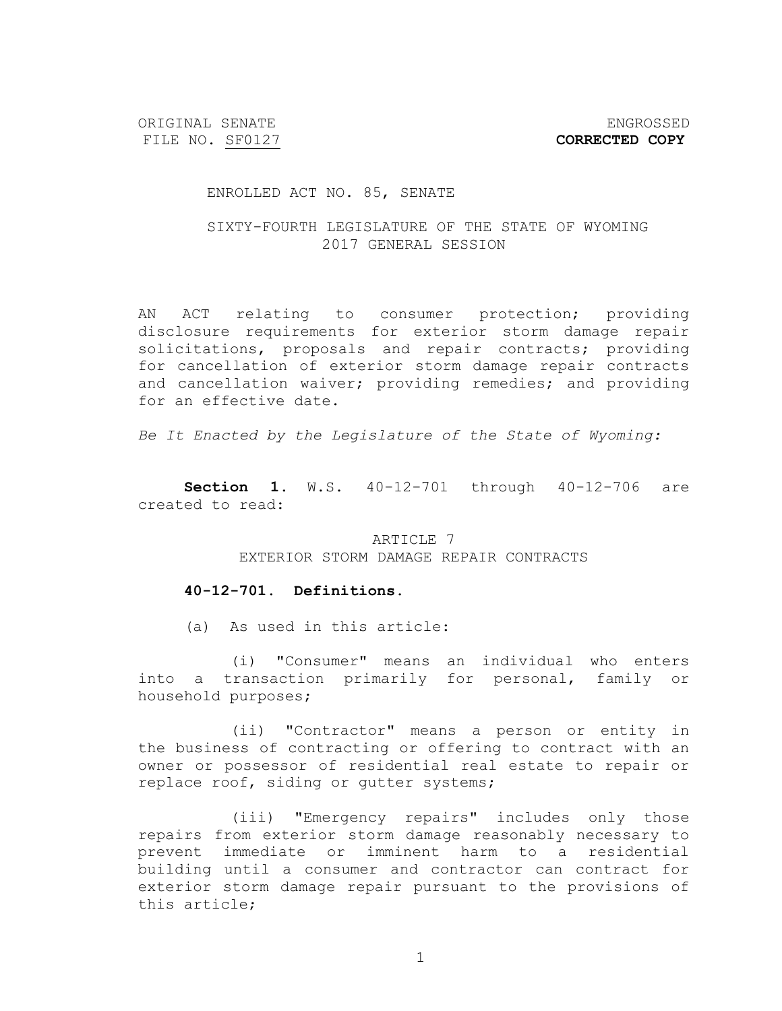ORIGINAL SENATE ENGROSSED FILE NO. SF0127 **CORRECTED COPY** 

#### ENROLLED ACT NO. 85, SENATE

# SIXTY-FOURTH LEGISLATURE OF THE STATE OF WYOMING 2017 GENERAL SESSION

AN ACT relating to consumer protection; providing disclosure requirements for exterior storm damage repair solicitations, proposals and repair contracts; providing for cancellation of exterior storm damage repair contracts and cancellation waiver; providing remedies; and providing for an effective date.

*Be It Enacted by the Legislature of the State of Wyoming:*

**Section 1.** W.S. 40-12-701 through 40-12-706 are created to read:

> ARTICLE 7 EXTERIOR STORM DAMAGE REPAIR CONTRACTS

#### **40-12-701. Definitions.**

(a) As used in this article:

(i) "Consumer" means an individual who enters into a transaction primarily for personal, family or household purposes;

(ii) "Contractor" means a person or entity in the business of contracting or offering to contract with an owner or possessor of residential real estate to repair or replace roof, siding or gutter systems;

(iii) "Emergency repairs" includes only those repairs from exterior storm damage reasonably necessary to prevent immediate or imminent harm to a residential building until a consumer and contractor can contract for exterior storm damage repair pursuant to the provisions of this article;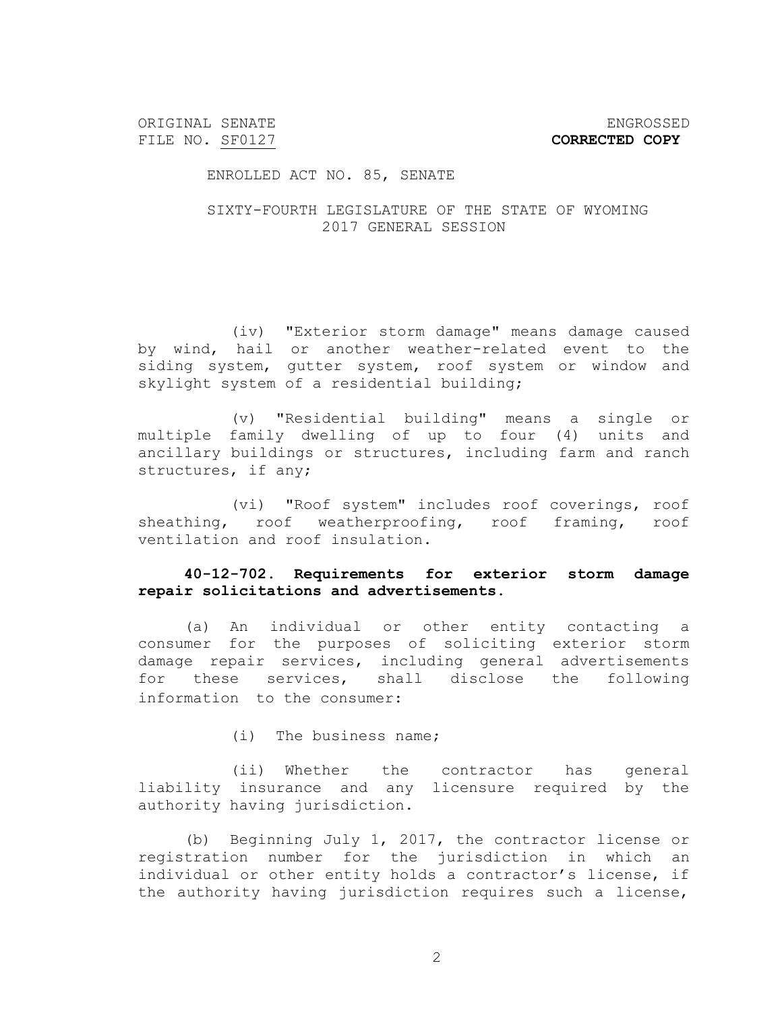ORIGINAL SENATE ENGROSSED

ENROLLED ACT NO. 85, SENATE

SIXTY-FOURTH LEGISLATURE OF THE STATE OF WYOMING 2017 GENERAL SESSION

(iv) "Exterior storm damage" means damage caused by wind, hail or another weather-related event to the siding system, gutter system, roof system or window and skylight system of a residential building;

(v) "Residential building" means a single or multiple family dwelling of up to four (4) units and ancillary buildings or structures, including farm and ranch structures, if any;

(vi) "Roof system" includes roof coverings, roof sheathing, roof weatherproofing, roof framing, roof ventilation and roof insulation.

## **40-12-702. Requirements for exterior storm damage repair solicitations and advertisements.**

(a) An individual or other entity contacting a consumer for the purposes of soliciting exterior storm damage repair services, including general advertisements for these services, shall disclose the following information to the consumer:

(i) The business name;

(ii) Whether the contractor has general liability insurance and any licensure required by the authority having jurisdiction.

(b) Beginning July 1, 2017, the contractor license or registration number for the jurisdiction in which an individual or other entity holds a contractor's license, if the authority having jurisdiction requires such a license,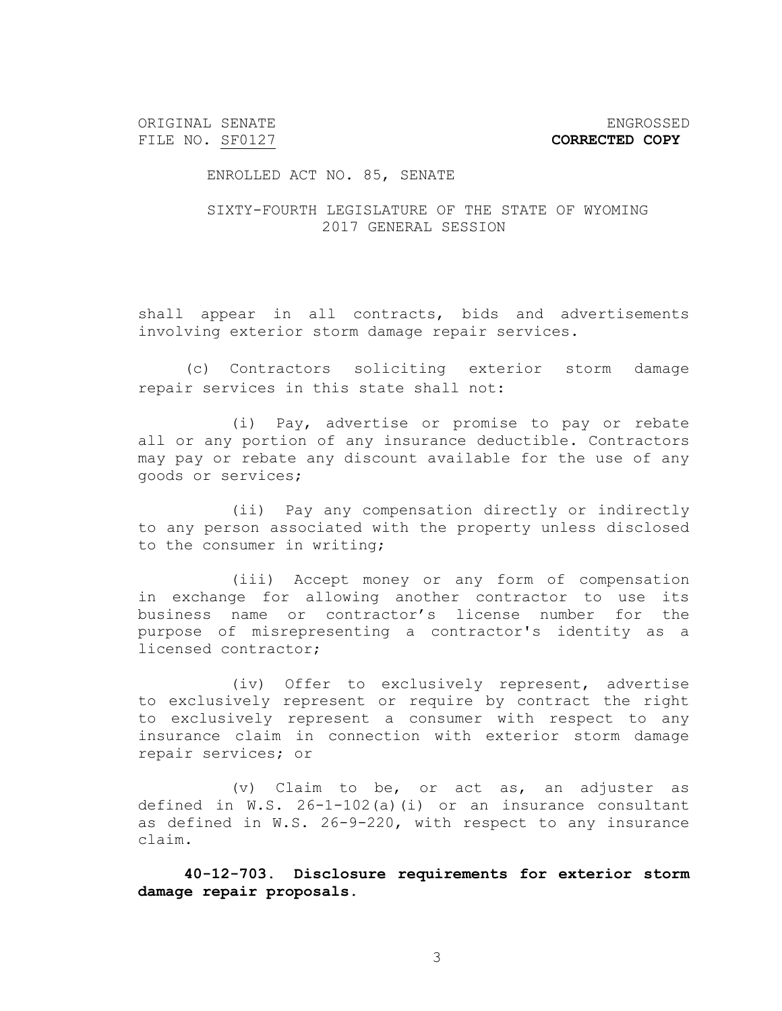ORIGINAL SENATE ENGROSSED

ENROLLED ACT NO. 85, SENATE

SIXTY-FOURTH LEGISLATURE OF THE STATE OF WYOMING 2017 GENERAL SESSION

shall appear in all contracts, bids and advertisements involving exterior storm damage repair services.

(c) Contractors soliciting exterior storm damage repair services in this state shall not:

(i) Pay, advertise or promise to pay or rebate all or any portion of any insurance deductible. Contractors may pay or rebate any discount available for the use of any goods or services;

(ii) Pay any compensation directly or indirectly to any person associated with the property unless disclosed to the consumer in writing;

(iii) Accept money or any form of compensation in exchange for allowing another contractor to use its business name or contractor's license number for the purpose of misrepresenting a contractor's identity as a licensed contractor;

(iv) Offer to exclusively represent, advertise to exclusively represent or require by contract the right to exclusively represent a consumer with respect to any insurance claim in connection with exterior storm damage repair services; or

(v) Claim to be, or act as, an adjuster as defined in W.S. 26-1-102(a)(i) or an insurance consultant as defined in W.S. 26-9-220, with respect to any insurance claim.

**40-12-703. Disclosure requirements for exterior storm damage repair proposals.**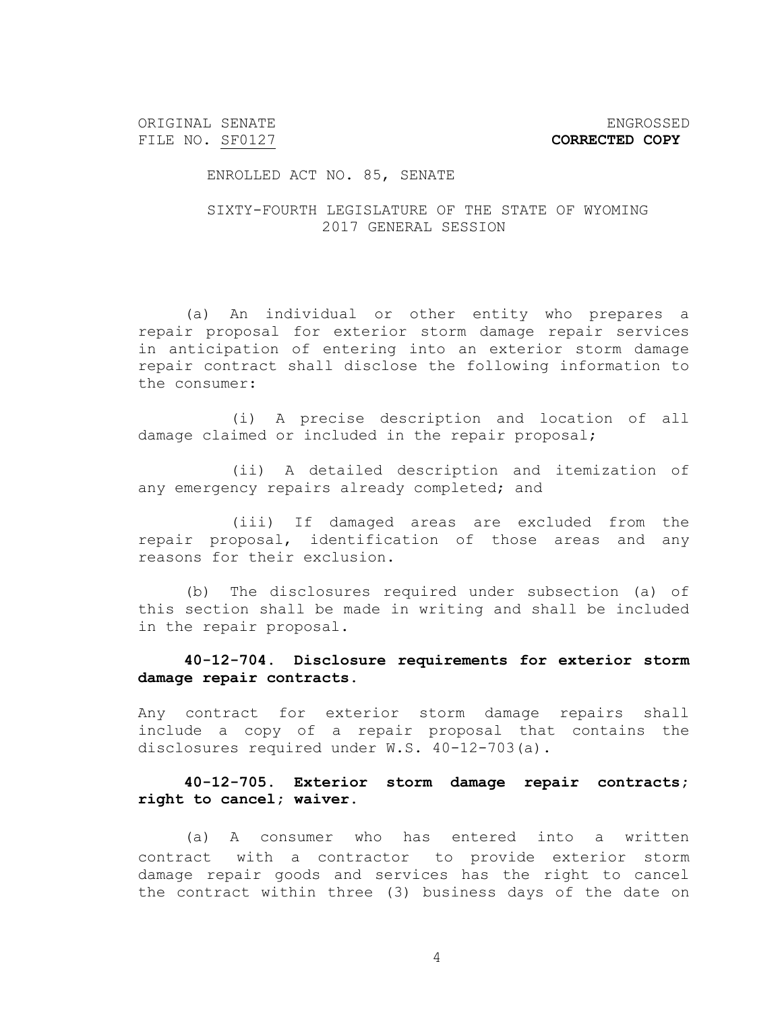ORIGINAL SENATE ENGROSSED

FILE NO. SF0127 **CORRECTED COPY** 

ENROLLED ACT NO. 85, SENATE

SIXTY-FOURTH LEGISLATURE OF THE STATE OF WYOMING 2017 GENERAL SESSION

(a) An individual or other entity who prepares a repair proposal for exterior storm damage repair services in anticipation of entering into an exterior storm damage repair contract shall disclose the following information to the consumer:

(i) A precise description and location of all damage claimed or included in the repair proposal;

(ii) A detailed description and itemization of any emergency repairs already completed; and

(iii) If damaged areas are excluded from the repair proposal, identification of those areas and any reasons for their exclusion.

(b) The disclosures required under subsection (a) of this section shall be made in writing and shall be included in the repair proposal.

**40-12-704. Disclosure requirements for exterior storm damage repair contracts.** 

Any contract for exterior storm damage repairs shall include a copy of a repair proposal that contains the disclosures required under W.S. 40-12-703(a).

**40-12-705. Exterior storm damage repair contracts; right to cancel; waiver.**

(a) A consumer who has entered into a written contract with a contractor to provide exterior storm damage repair goods and services has the right to cancel the contract within three (3) business days of the date on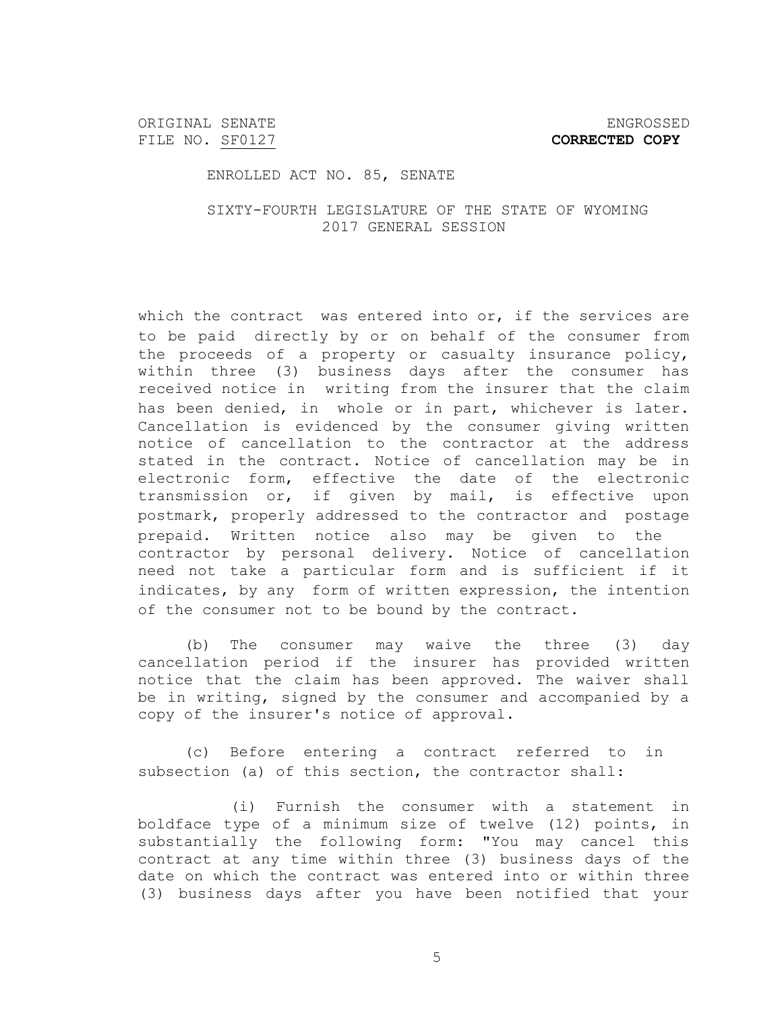ORIGINAL SENATE ENGROSSED

ENROLLED ACT NO. 85, SENATE

SIXTY-FOURTH LEGISLATURE OF THE STATE OF WYOMING 2017 GENERAL SESSION

which the contract was entered into or, if the services are to be paid directly by or on behalf of the consumer from the proceeds of a property or casualty insurance policy, within three (3) business days after the consumer has received notice in writing from the insurer that the claim has been denied, in whole or in part, whichever is later. Cancellation is evidenced by the consumer giving written notice of cancellation to the contractor at the address stated in the contract. Notice of cancellation may be in electronic form, effective the date of the electronic transmission or, if given by mail, is effective upon postmark, properly addressed to the contractor and postage prepaid. Written notice also may be given to the contractor by personal delivery. Notice of cancellation need not take a particular form and is sufficient if it indicates, by any form of written expression, the intention of the consumer not to be bound by the contract.

(b) The consumer may waive the three (3) day cancellation period if the insurer has provided written notice that the claim has been approved. The waiver shall be in writing, signed by the consumer and accompanied by a copy of the insurer's notice of approval.

(c) Before entering a contract referred to in subsection (a) of this section, the contractor shall:

(i) Furnish the consumer with a statement in boldface type of a minimum size of twelve (12) points, in substantially the following form: "You may cancel this contract at any time within three (3) business days of the date on which the contract was entered into or within three (3) business days after you have been notified that your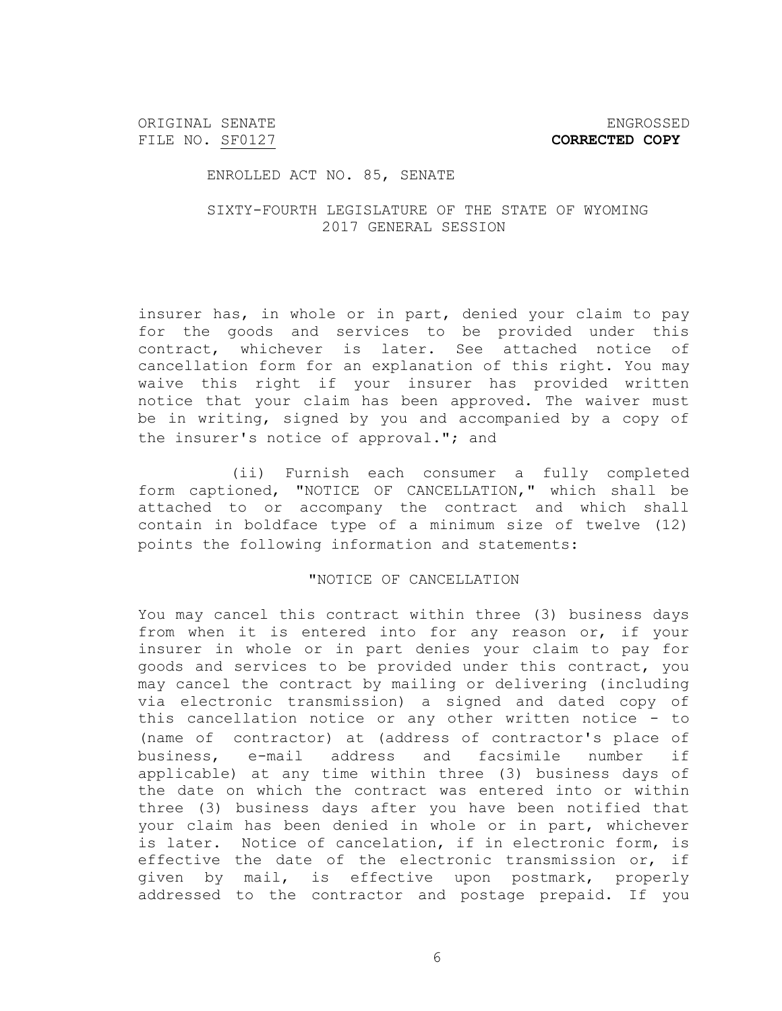ORIGINAL SENATE ENGROSSED FILE NO. SF0127 **CORRECTED COPY** 

## ENROLLED ACT NO. 85, SENATE

## SIXTY-FOURTH LEGISLATURE OF THE STATE OF WYOMING 2017 GENERAL SESSION

insurer has, in whole or in part, denied your claim to pay for the goods and services to be provided under this contract, whichever is later. See attached notice of cancellation form for an explanation of this right. You may waive this right if your insurer has provided written notice that your claim has been approved. The waiver must be in writing, signed by you and accompanied by a copy of the insurer's notice of approval."; and

(ii) Furnish each consumer a fully completed form captioned, "NOTICE OF CANCELLATION," which shall be attached to or accompany the contract and which shall contain in boldface type of a minimum size of twelve (12) points the following information and statements:

## "NOTICE OF CANCELLATION

You may cancel this contract within three (3) business days from when it is entered into for any reason or, if your insurer in whole or in part denies your claim to pay for goods and services to be provided under this contract, you may cancel the contract by mailing or delivering (including via electronic transmission) a signed and dated copy of this cancellation notice or any other written notice - to (name of contractor) at (address of contractor's place of business, e-mail address and facsimile number if applicable) at any time within three (3) business days of the date on which the contract was entered into or within three (3) business days after you have been notified that your claim has been denied in whole or in part, whichever is later. Notice of cancelation, if in electronic form, is effective the date of the electronic transmission or, if given by mail, is effective upon postmark, properly addressed to the contractor and postage prepaid. If you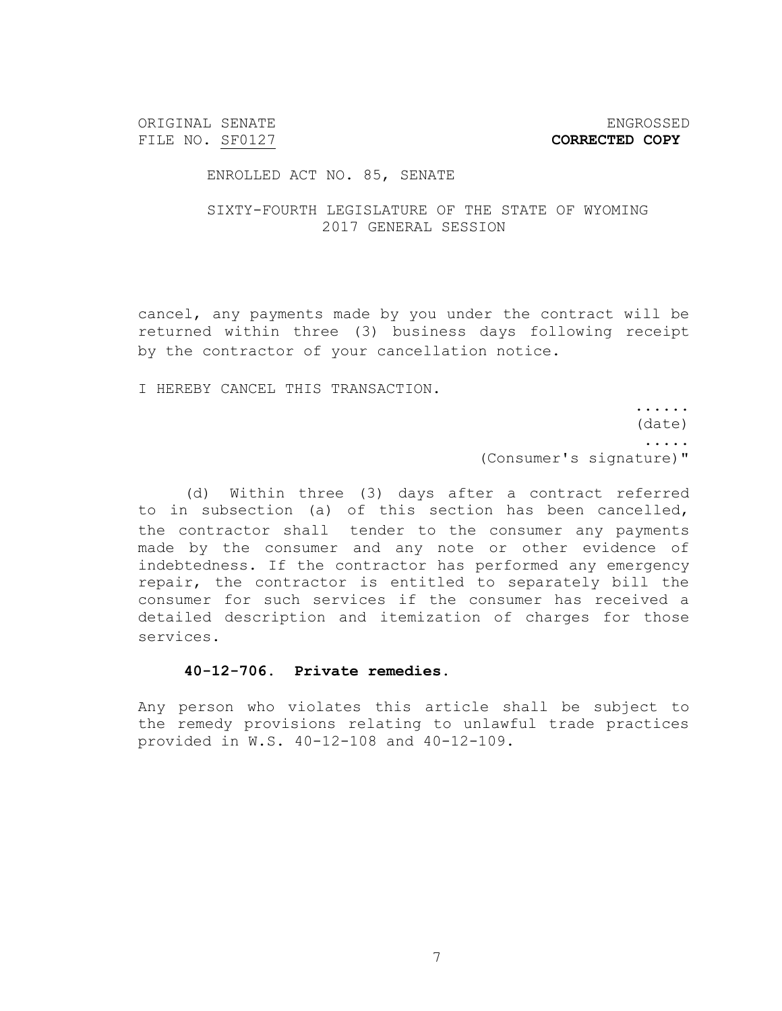ORIGINAL SENATE ENGROSSED

FILE NO. SF0127 **CORRECTED COPY** 

#### ENROLLED ACT NO. 85, SENATE

## SIXTY-FOURTH LEGISLATURE OF THE STATE OF WYOMING 2017 GENERAL SESSION

cancel, any payments made by you under the contract will be returned within three (3) business days following receipt by the contractor of your cancellation notice.

I HEREBY CANCEL THIS TRANSACTION.

...... (date) ..... (Consumer's signature)"

(d) Within three (3) days after a contract referred to in subsection (a) of this section has been cancelled, the contractor shall tender to the consumer any payments made by the consumer and any note or other evidence of indebtedness. If the contractor has performed any emergency repair, the contractor is entitled to separately bill the consumer for such services if the consumer has received a detailed description and itemization of charges for those services.

## **40-12-706. Private remedies.**

Any person who violates this article shall be subject to the remedy provisions relating to unlawful trade practices provided in W.S. 40-12-108 and 40-12-109.